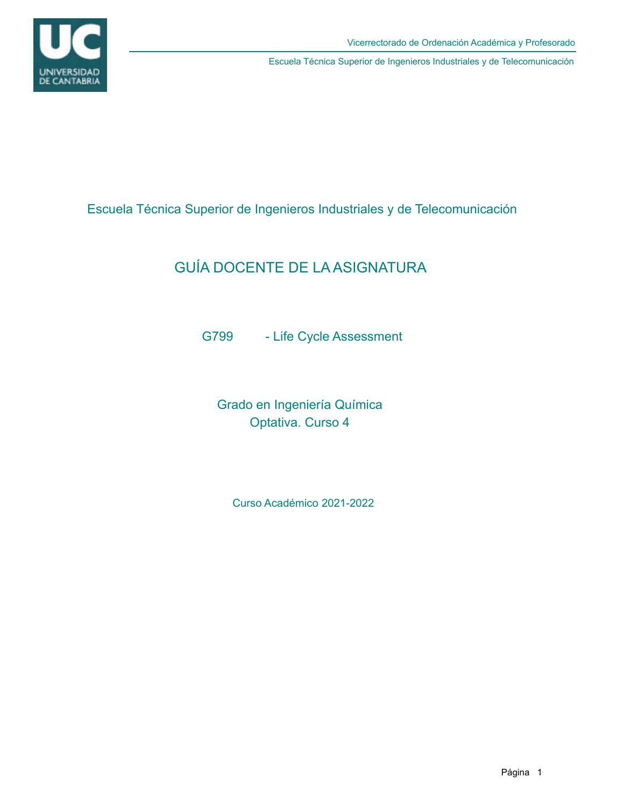

Escuela Técnica Superior de Ingenieros Industriales y de Telecomunicación

# GUÍA DOCENTE DE LA ASIGNATURA

G799 - Life Cycle Assessment

Grado en Ingeniería Química Optativa. Curso 4

Curso Académico 2021-2022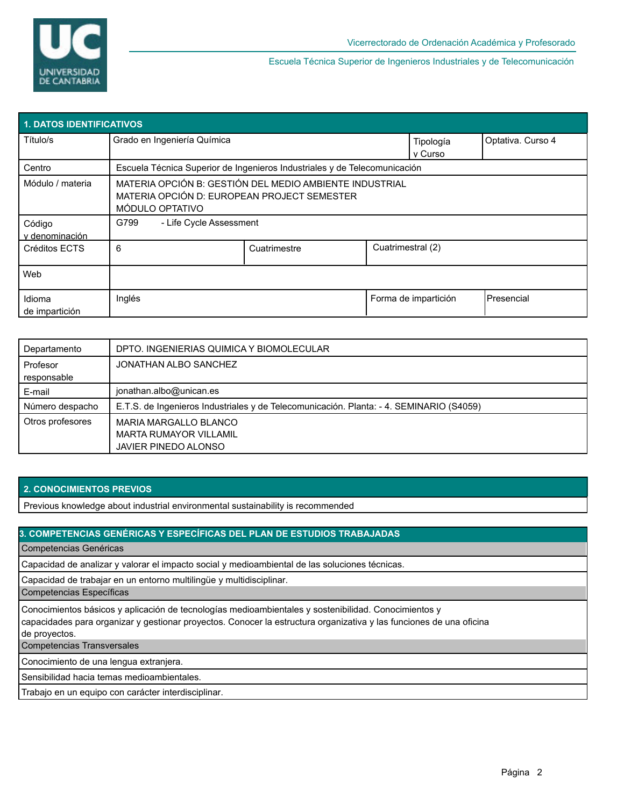

| <b>1. DATOS IDENTIFICATIVOS</b> |                                                                                                                           |                   |                   |                      |            |  |  |  |  |
|---------------------------------|---------------------------------------------------------------------------------------------------------------------------|-------------------|-------------------|----------------------|------------|--|--|--|--|
| Título/s                        | Grado en Ingeniería Química                                                                                               | Optativa. Curso 4 |                   |                      |            |  |  |  |  |
| Centro                          | Escuela Técnica Superior de Ingenieros Industriales y de Telecomunicación                                                 |                   |                   |                      |            |  |  |  |  |
| Módulo / materia                | MATERIA OPCIÓN B: GESTIÓN DEL MEDIO AMBIENTE INDUSTRIAL<br>MATERIA OPCIÓN D: EUROPEAN PROJECT SEMESTER<br>MÓDULO OPTATIVO |                   |                   |                      |            |  |  |  |  |
| Código<br>v denominación        | - Life Cycle Assessment<br>G799                                                                                           |                   |                   |                      |            |  |  |  |  |
| Créditos ECTS                   | 6                                                                                                                         | Cuatrimestre      | Cuatrimestral (2) |                      |            |  |  |  |  |
| Web                             |                                                                                                                           |                   |                   |                      |            |  |  |  |  |
| Idioma<br>de impartición        | Inglés                                                                                                                    |                   |                   | Forma de impartición | Presencial |  |  |  |  |

| Departamento            | DPTO. INGENIERIAS QUIMICA Y BIOMOLECULAR                                                |
|-------------------------|-----------------------------------------------------------------------------------------|
| Profesor<br>responsable | JONATHAN ALBO SANCHEZ                                                                   |
| E-mail                  | jonathan.albo@unican.es                                                                 |
| Número despacho         | E.T.S. de Ingenieros Industriales y de Telecomunicación. Planta: - 4. SEMINARIO (S4059) |
| Otros profesores        | MARIA MARGALLO BLANCO<br><b>MARTA RUMAYOR VILLAMIL</b><br>JAVIER PINEDO ALONSO          |

## **2. CONOCIMIENTOS PREVIOS**

Previous knowledge about industrial environmental sustainability is recommended

### **3. COMPETENCIAS GENÉRICAS Y ESPECÍFICAS DEL PLAN DE ESTUDIOS TRABAJADAS**

Competencias Genéricas

Capacidad de analizar y valorar el impacto social y medioambiental de las soluciones técnicas.

Capacidad de trabajar en un entorno multilingüe y multidisciplinar.

Competencias Específicas

Conocimientos básicos y aplicación de tecnologías medioambientales y sostenibilidad. Conocimientos y

capacidades para organizar y gestionar proyectos. Conocer la estructura organizativa y las funciones de una oficina de proyectos.

Competencias Transversales

Conocimiento de una lengua extranjera.

Sensibilidad hacia temas medioambientales.

Trabajo en un equipo con carácter interdisciplinar.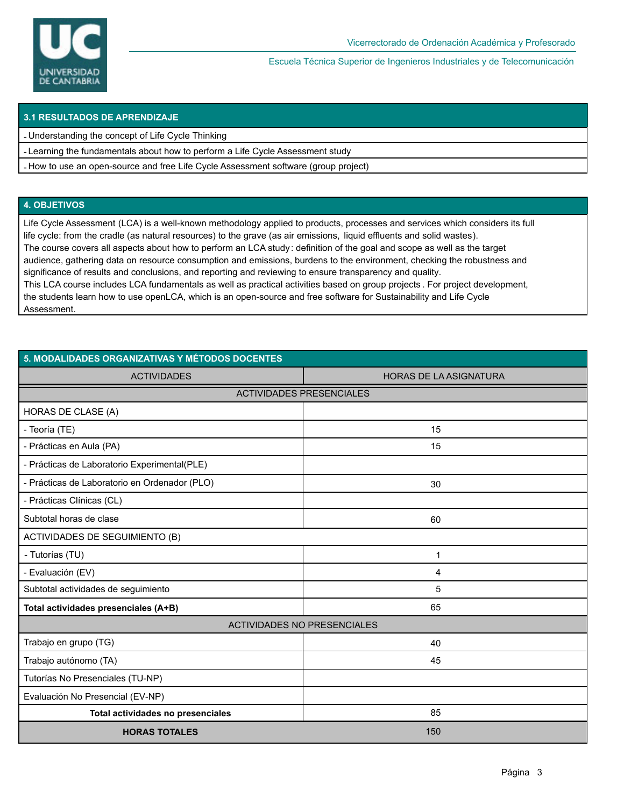

### **3.1 RESULTADOS DE APRENDIZAJE**

- Understanding the concept of Life Cycle Thinking

- Learning the fundamentals about how to perform a Life Cycle Assessment study
- How to use an open-source and free Life Cycle Assessment software (group project)

#### **4. OBJETIVOS**

Life Cycle Assessment (LCA) is a well-known methodology applied to products, processes and services which considers its full life cycle: from the cradle (as natural resources) to the grave (as air emissions, liquid effluents and solid wastes). The course covers all aspects about how to perform an LCA study: definition of the goal and scope as well as the target audience, gathering data on resource consumption and emissions, burdens to the environment, checking the robustness and significance of results and conclusions, and reporting and reviewing to ensure transparency and quality. This LCA course includes LCA fundamentals as well as practical activities based on group projects . For project development, the students learn how to use openLCA, which is an open-source and free software for Sustainability and Life Cycle Assessment.

| 5. MODALIDADES ORGANIZATIVAS Y MÉTODOS DOCENTES |                               |  |  |  |  |  |  |
|-------------------------------------------------|-------------------------------|--|--|--|--|--|--|
| <b>ACTIVIDADES</b>                              | <b>HORAS DE LA ASIGNATURA</b> |  |  |  |  |  |  |
| <b>ACTIVIDADES PRESENCIALES</b>                 |                               |  |  |  |  |  |  |
| <b>HORAS DE CLASE (A)</b>                       |                               |  |  |  |  |  |  |
| - Teoría (TE)                                   | 15                            |  |  |  |  |  |  |
| - Prácticas en Aula (PA)                        | 15                            |  |  |  |  |  |  |
| - Prácticas de Laboratorio Experimental(PLE)    |                               |  |  |  |  |  |  |
| - Prácticas de Laboratorio en Ordenador (PLO)   | 30                            |  |  |  |  |  |  |
| - Prácticas Clínicas (CL)                       |                               |  |  |  |  |  |  |
| Subtotal horas de clase                         | 60                            |  |  |  |  |  |  |
| <b>ACTIVIDADES DE SEGUIMIENTO (B)</b>           |                               |  |  |  |  |  |  |
| - Tutorías (TU)                                 | 1                             |  |  |  |  |  |  |
| - Evaluación (EV)                               | 4                             |  |  |  |  |  |  |
| Subtotal actividades de seguimiento             | 5                             |  |  |  |  |  |  |
| Total actividades presenciales (A+B)            | 65                            |  |  |  |  |  |  |
| <b>ACTIVIDADES NO PRESENCIALES</b>              |                               |  |  |  |  |  |  |
| Trabajo en grupo (TG)                           | 40                            |  |  |  |  |  |  |
| Trabajo autónomo (TA)                           | 45                            |  |  |  |  |  |  |
| Tutorías No Presenciales (TU-NP)                |                               |  |  |  |  |  |  |
| Evaluación No Presencial (EV-NP)                |                               |  |  |  |  |  |  |
| Total actividades no presenciales               | 85                            |  |  |  |  |  |  |
| <b>HORAS TOTALES</b>                            | 150                           |  |  |  |  |  |  |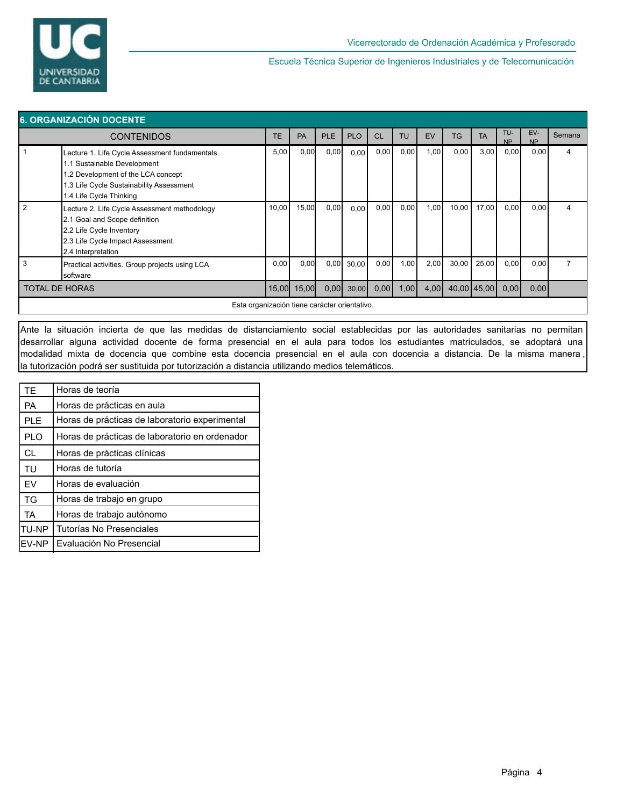

| 6. ORGANIZACIÓN DOCENTE                                                                                                                                                  |                                                                                                                                                                                          |           |       |            |            |      |           |      |           |             |                  |                  |        |
|--------------------------------------------------------------------------------------------------------------------------------------------------------------------------|------------------------------------------------------------------------------------------------------------------------------------------------------------------------------------------|-----------|-------|------------|------------|------|-----------|------|-----------|-------------|------------------|------------------|--------|
|                                                                                                                                                                          | <b>CONTENIDOS</b>                                                                                                                                                                        | <b>TE</b> | PA    | <b>PLE</b> | <b>PLO</b> | CL   | <b>TU</b> | EV   | <b>TG</b> | <b>TA</b>   | TU-<br><b>NP</b> | EV-<br><b>NP</b> | Semana |
|                                                                                                                                                                          | Lecture 1. Life Cycle Assessment fundamentals<br>1.1 Sustainable Development<br>.2 Development of the LCA concept<br>1.3 Life Cycle Sustainability Assessment<br>1.4 Life Cycle Thinking | 5,00      | 0,00  | 0,00       | 0,00       | 0,00 | 0,00      | 1,00 | 0,00      | 3,00        | 0,00             | 0,00             | 4      |
| 2<br>Lecture 2. Life Cycle Assessment methodology<br>2.1 Goal and Scope definition<br>2.2 Life Cycle Inventory<br>2.3 Life Cycle Impact Assessment<br>2.4 Interpretation |                                                                                                                                                                                          | 10,00     | 15,00 | 0,00       | 0,00       | 0,00 | 0,00      | 1,00 | 10,00     | 17,00       | 0,00             | 0,00             | 4      |
| 3                                                                                                                                                                        | Practical activities. Group projects using LCA<br>software                                                                                                                               | 0,00      | 0,00  | 0,00       | 30,00      | 0,00 | 1,00      | 2,00 | 30,00     | 25,00       | 0,00             | 0,00             |        |
| 15,00<br><b>TOTAL DE HORAS</b>                                                                                                                                           |                                                                                                                                                                                          |           | 15,00 | 0,00       | 30,00      | 0,00 | 1,00      | 4,00 |           | 40,00 45,00 | 0,00             | 0,00             |        |
|                                                                                                                                                                          | Esta organización tiene carácter orientativo.                                                                                                                                            |           |       |            |            |      |           |      |           |             |                  |                  |        |

Ante la situación incierta de que las medidas de distanciamiento social establecidas por las autoridades sanitarias no permitan desarrollar alguna actividad docente de forma presencial en el aula para todos los estudiantes matriculados, se adoptará una modalidad mixta de docencia que combine esta docencia presencial en el aula con docencia a distancia. De la misma manera , la tutorización podrá ser sustituida por tutorización a distancia utilizando medios telemáticos.

| <b>TF</b>  | Horas de teoría                                |
|------------|------------------------------------------------|
| <b>PA</b>  | Horas de prácticas en aula                     |
| <b>PLE</b> | Horas de prácticas de laboratorio experimental |
| <b>PLO</b> | Horas de prácticas de laboratorio en ordenador |
| <b>CL</b>  | Horas de prácticas clínicas                    |
| <b>TU</b>  | Horas de tutoría                               |
| <b>FV</b>  | Horas de evaluación                            |
| TG         | Horas de trabajo en grupo                      |
| <b>TA</b>  | Horas de trabajo autónomo                      |
| TU-NP      | Tutorías No Presenciales                       |
| EV-NP      | Evaluación No Presencial                       |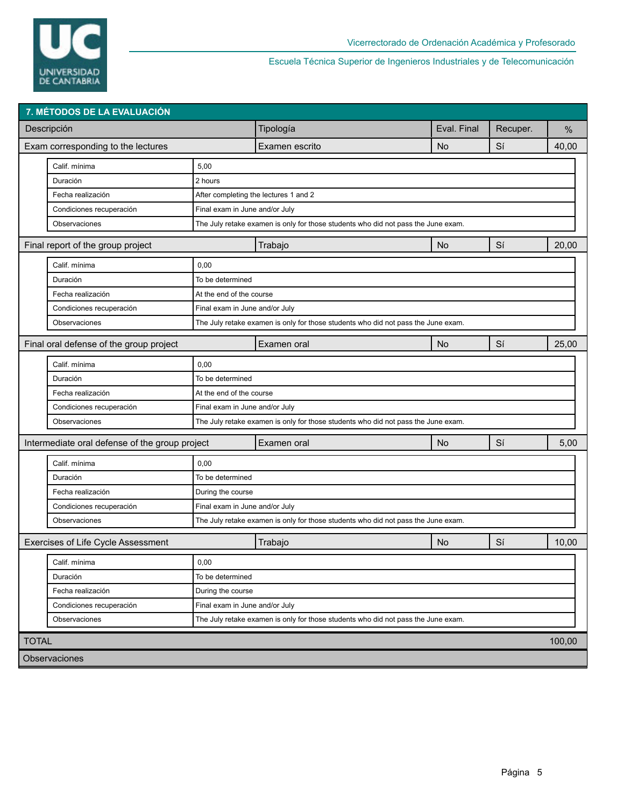

| Tipología<br>Eval. Final<br>Descripción<br>Recuper.<br>%<br>No<br>Sí<br>40,00<br>Exam corresponding to the lectures<br>Examen escrito<br>Calif. mínima<br>5,00<br>2 hours<br>Duración<br>Fecha realización<br>After completing the lectures 1 and 2<br>Condiciones recuperación<br>Final exam in June and/or July<br>The July retake examen is only for those students who did not pass the June exam.<br>Observaciones<br>Sí<br>20,00<br>Final report of the group project<br>Trabajo<br><b>No</b><br>Calif. mínima<br>0,00<br>Duración<br>To be determined<br>Fecha realización<br>At the end of the course<br>Condiciones recuperación<br>Final exam in June and/or July<br>Observaciones<br>The July retake examen is only for those students who did not pass the June exam.<br>Sí<br>25,00<br>Final oral defense of the group project<br>No<br>Examen oral<br>Calif. mínima<br>0,00<br>Duración<br>To be determined<br>Fecha realización<br>At the end of the course<br>Condiciones recuperación<br>Final exam in June and/or July<br>Observaciones<br>The July retake examen is only for those students who did not pass the June exam.<br>Sí<br>Intermediate oral defense of the group project<br>5,00<br>Examen oral<br>No<br>Calif. mínima<br>0,00<br>Duración<br>To be determined<br>Fecha realización<br>During the course<br>Condiciones recuperación<br>Final exam in June and/or July<br>The July retake examen is only for those students who did not pass the June exam.<br>Observaciones<br>Exercises of Life Cycle Assessment<br>Sí<br><b>No</b><br>10,00<br>Trabajo<br>Calif. mínima<br>0,00<br>Duración<br>To be determined<br>Fecha realización<br>During the course<br>Condiciones recuperación<br>Final exam in June and/or July<br>Observaciones<br>The July retake examen is only for those students who did not pass the June exam.<br><b>TOTAL</b><br>100,00 | 7. MÉTODOS DE LA EVALUACIÓN |  |  |  |  |  |  |  |  |  |  |
|------------------------------------------------------------------------------------------------------------------------------------------------------------------------------------------------------------------------------------------------------------------------------------------------------------------------------------------------------------------------------------------------------------------------------------------------------------------------------------------------------------------------------------------------------------------------------------------------------------------------------------------------------------------------------------------------------------------------------------------------------------------------------------------------------------------------------------------------------------------------------------------------------------------------------------------------------------------------------------------------------------------------------------------------------------------------------------------------------------------------------------------------------------------------------------------------------------------------------------------------------------------------------------------------------------------------------------------------------------------------------------------------------------------------------------------------------------------------------------------------------------------------------------------------------------------------------------------------------------------------------------------------------------------------------------------------------------------------------------------------------------------------------------------------------------------------------------------------------------------------------------------|-----------------------------|--|--|--|--|--|--|--|--|--|--|
|                                                                                                                                                                                                                                                                                                                                                                                                                                                                                                                                                                                                                                                                                                                                                                                                                                                                                                                                                                                                                                                                                                                                                                                                                                                                                                                                                                                                                                                                                                                                                                                                                                                                                                                                                                                                                                                                                          |                             |  |  |  |  |  |  |  |  |  |  |
|                                                                                                                                                                                                                                                                                                                                                                                                                                                                                                                                                                                                                                                                                                                                                                                                                                                                                                                                                                                                                                                                                                                                                                                                                                                                                                                                                                                                                                                                                                                                                                                                                                                                                                                                                                                                                                                                                          |                             |  |  |  |  |  |  |  |  |  |  |
|                                                                                                                                                                                                                                                                                                                                                                                                                                                                                                                                                                                                                                                                                                                                                                                                                                                                                                                                                                                                                                                                                                                                                                                                                                                                                                                                                                                                                                                                                                                                                                                                                                                                                                                                                                                                                                                                                          |                             |  |  |  |  |  |  |  |  |  |  |
|                                                                                                                                                                                                                                                                                                                                                                                                                                                                                                                                                                                                                                                                                                                                                                                                                                                                                                                                                                                                                                                                                                                                                                                                                                                                                                                                                                                                                                                                                                                                                                                                                                                                                                                                                                                                                                                                                          |                             |  |  |  |  |  |  |  |  |  |  |
|                                                                                                                                                                                                                                                                                                                                                                                                                                                                                                                                                                                                                                                                                                                                                                                                                                                                                                                                                                                                                                                                                                                                                                                                                                                                                                                                                                                                                                                                                                                                                                                                                                                                                                                                                                                                                                                                                          |                             |  |  |  |  |  |  |  |  |  |  |
|                                                                                                                                                                                                                                                                                                                                                                                                                                                                                                                                                                                                                                                                                                                                                                                                                                                                                                                                                                                                                                                                                                                                                                                                                                                                                                                                                                                                                                                                                                                                                                                                                                                                                                                                                                                                                                                                                          |                             |  |  |  |  |  |  |  |  |  |  |
|                                                                                                                                                                                                                                                                                                                                                                                                                                                                                                                                                                                                                                                                                                                                                                                                                                                                                                                                                                                                                                                                                                                                                                                                                                                                                                                                                                                                                                                                                                                                                                                                                                                                                                                                                                                                                                                                                          |                             |  |  |  |  |  |  |  |  |  |  |
|                                                                                                                                                                                                                                                                                                                                                                                                                                                                                                                                                                                                                                                                                                                                                                                                                                                                                                                                                                                                                                                                                                                                                                                                                                                                                                                                                                                                                                                                                                                                                                                                                                                                                                                                                                                                                                                                                          |                             |  |  |  |  |  |  |  |  |  |  |
|                                                                                                                                                                                                                                                                                                                                                                                                                                                                                                                                                                                                                                                                                                                                                                                                                                                                                                                                                                                                                                                                                                                                                                                                                                                                                                                                                                                                                                                                                                                                                                                                                                                                                                                                                                                                                                                                                          |                             |  |  |  |  |  |  |  |  |  |  |
|                                                                                                                                                                                                                                                                                                                                                                                                                                                                                                                                                                                                                                                                                                                                                                                                                                                                                                                                                                                                                                                                                                                                                                                                                                                                                                                                                                                                                                                                                                                                                                                                                                                                                                                                                                                                                                                                                          |                             |  |  |  |  |  |  |  |  |  |  |
|                                                                                                                                                                                                                                                                                                                                                                                                                                                                                                                                                                                                                                                                                                                                                                                                                                                                                                                                                                                                                                                                                                                                                                                                                                                                                                                                                                                                                                                                                                                                                                                                                                                                                                                                                                                                                                                                                          |                             |  |  |  |  |  |  |  |  |  |  |
|                                                                                                                                                                                                                                                                                                                                                                                                                                                                                                                                                                                                                                                                                                                                                                                                                                                                                                                                                                                                                                                                                                                                                                                                                                                                                                                                                                                                                                                                                                                                                                                                                                                                                                                                                                                                                                                                                          |                             |  |  |  |  |  |  |  |  |  |  |
|                                                                                                                                                                                                                                                                                                                                                                                                                                                                                                                                                                                                                                                                                                                                                                                                                                                                                                                                                                                                                                                                                                                                                                                                                                                                                                                                                                                                                                                                                                                                                                                                                                                                                                                                                                                                                                                                                          |                             |  |  |  |  |  |  |  |  |  |  |
|                                                                                                                                                                                                                                                                                                                                                                                                                                                                                                                                                                                                                                                                                                                                                                                                                                                                                                                                                                                                                                                                                                                                                                                                                                                                                                                                                                                                                                                                                                                                                                                                                                                                                                                                                                                                                                                                                          |                             |  |  |  |  |  |  |  |  |  |  |
|                                                                                                                                                                                                                                                                                                                                                                                                                                                                                                                                                                                                                                                                                                                                                                                                                                                                                                                                                                                                                                                                                                                                                                                                                                                                                                                                                                                                                                                                                                                                                                                                                                                                                                                                                                                                                                                                                          |                             |  |  |  |  |  |  |  |  |  |  |
|                                                                                                                                                                                                                                                                                                                                                                                                                                                                                                                                                                                                                                                                                                                                                                                                                                                                                                                                                                                                                                                                                                                                                                                                                                                                                                                                                                                                                                                                                                                                                                                                                                                                                                                                                                                                                                                                                          |                             |  |  |  |  |  |  |  |  |  |  |
|                                                                                                                                                                                                                                                                                                                                                                                                                                                                                                                                                                                                                                                                                                                                                                                                                                                                                                                                                                                                                                                                                                                                                                                                                                                                                                                                                                                                                                                                                                                                                                                                                                                                                                                                                                                                                                                                                          |                             |  |  |  |  |  |  |  |  |  |  |
|                                                                                                                                                                                                                                                                                                                                                                                                                                                                                                                                                                                                                                                                                                                                                                                                                                                                                                                                                                                                                                                                                                                                                                                                                                                                                                                                                                                                                                                                                                                                                                                                                                                                                                                                                                                                                                                                                          |                             |  |  |  |  |  |  |  |  |  |  |
|                                                                                                                                                                                                                                                                                                                                                                                                                                                                                                                                                                                                                                                                                                                                                                                                                                                                                                                                                                                                                                                                                                                                                                                                                                                                                                                                                                                                                                                                                                                                                                                                                                                                                                                                                                                                                                                                                          |                             |  |  |  |  |  |  |  |  |  |  |
|                                                                                                                                                                                                                                                                                                                                                                                                                                                                                                                                                                                                                                                                                                                                                                                                                                                                                                                                                                                                                                                                                                                                                                                                                                                                                                                                                                                                                                                                                                                                                                                                                                                                                                                                                                                                                                                                                          |                             |  |  |  |  |  |  |  |  |  |  |
|                                                                                                                                                                                                                                                                                                                                                                                                                                                                                                                                                                                                                                                                                                                                                                                                                                                                                                                                                                                                                                                                                                                                                                                                                                                                                                                                                                                                                                                                                                                                                                                                                                                                                                                                                                                                                                                                                          |                             |  |  |  |  |  |  |  |  |  |  |
|                                                                                                                                                                                                                                                                                                                                                                                                                                                                                                                                                                                                                                                                                                                                                                                                                                                                                                                                                                                                                                                                                                                                                                                                                                                                                                                                                                                                                                                                                                                                                                                                                                                                                                                                                                                                                                                                                          |                             |  |  |  |  |  |  |  |  |  |  |
|                                                                                                                                                                                                                                                                                                                                                                                                                                                                                                                                                                                                                                                                                                                                                                                                                                                                                                                                                                                                                                                                                                                                                                                                                                                                                                                                                                                                                                                                                                                                                                                                                                                                                                                                                                                                                                                                                          |                             |  |  |  |  |  |  |  |  |  |  |
|                                                                                                                                                                                                                                                                                                                                                                                                                                                                                                                                                                                                                                                                                                                                                                                                                                                                                                                                                                                                                                                                                                                                                                                                                                                                                                                                                                                                                                                                                                                                                                                                                                                                                                                                                                                                                                                                                          |                             |  |  |  |  |  |  |  |  |  |  |
|                                                                                                                                                                                                                                                                                                                                                                                                                                                                                                                                                                                                                                                                                                                                                                                                                                                                                                                                                                                                                                                                                                                                                                                                                                                                                                                                                                                                                                                                                                                                                                                                                                                                                                                                                                                                                                                                                          |                             |  |  |  |  |  |  |  |  |  |  |
|                                                                                                                                                                                                                                                                                                                                                                                                                                                                                                                                                                                                                                                                                                                                                                                                                                                                                                                                                                                                                                                                                                                                                                                                                                                                                                                                                                                                                                                                                                                                                                                                                                                                                                                                                                                                                                                                                          |                             |  |  |  |  |  |  |  |  |  |  |
|                                                                                                                                                                                                                                                                                                                                                                                                                                                                                                                                                                                                                                                                                                                                                                                                                                                                                                                                                                                                                                                                                                                                                                                                                                                                                                                                                                                                                                                                                                                                                                                                                                                                                                                                                                                                                                                                                          |                             |  |  |  |  |  |  |  |  |  |  |
|                                                                                                                                                                                                                                                                                                                                                                                                                                                                                                                                                                                                                                                                                                                                                                                                                                                                                                                                                                                                                                                                                                                                                                                                                                                                                                                                                                                                                                                                                                                                                                                                                                                                                                                                                                                                                                                                                          |                             |  |  |  |  |  |  |  |  |  |  |
|                                                                                                                                                                                                                                                                                                                                                                                                                                                                                                                                                                                                                                                                                                                                                                                                                                                                                                                                                                                                                                                                                                                                                                                                                                                                                                                                                                                                                                                                                                                                                                                                                                                                                                                                                                                                                                                                                          |                             |  |  |  |  |  |  |  |  |  |  |
|                                                                                                                                                                                                                                                                                                                                                                                                                                                                                                                                                                                                                                                                                                                                                                                                                                                                                                                                                                                                                                                                                                                                                                                                                                                                                                                                                                                                                                                                                                                                                                                                                                                                                                                                                                                                                                                                                          |                             |  |  |  |  |  |  |  |  |  |  |
|                                                                                                                                                                                                                                                                                                                                                                                                                                                                                                                                                                                                                                                                                                                                                                                                                                                                                                                                                                                                                                                                                                                                                                                                                                                                                                                                                                                                                                                                                                                                                                                                                                                                                                                                                                                                                                                                                          |                             |  |  |  |  |  |  |  |  |  |  |
|                                                                                                                                                                                                                                                                                                                                                                                                                                                                                                                                                                                                                                                                                                                                                                                                                                                                                                                                                                                                                                                                                                                                                                                                                                                                                                                                                                                                                                                                                                                                                                                                                                                                                                                                                                                                                                                                                          |                             |  |  |  |  |  |  |  |  |  |  |
| Observaciones                                                                                                                                                                                                                                                                                                                                                                                                                                                                                                                                                                                                                                                                                                                                                                                                                                                                                                                                                                                                                                                                                                                                                                                                                                                                                                                                                                                                                                                                                                                                                                                                                                                                                                                                                                                                                                                                            |                             |  |  |  |  |  |  |  |  |  |  |